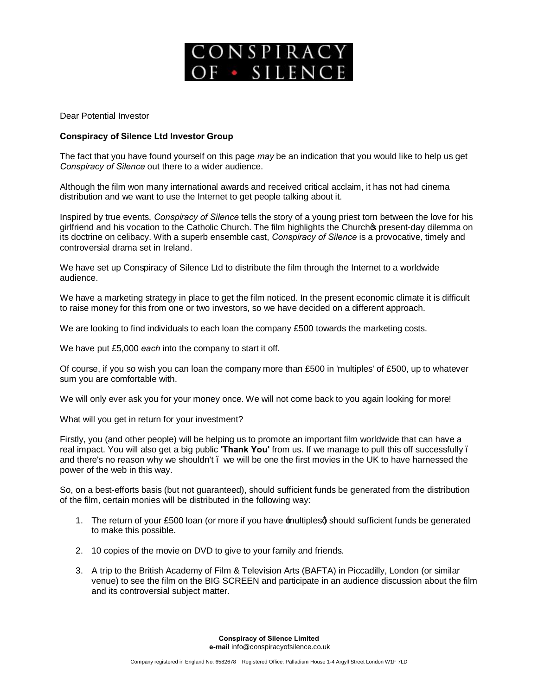

Dear Potential Investor

## **Conspiracy of Silence Ltd Investor Group**

The fact that you have found yourself on this page *may* be an indication that you would like to help us get *Conspiracy of Silence* out there to a wider audience.

Although the film won many international awards and received critical acclaim, it has not had cinema distribution and we want to use the Internet to get people talking about it.

Inspired by true events, *Conspiracy of Silence* tells the story of a young priest torn between the love for his girlfriend and his vocation to the Catholic Church. The film highlights the Churchos present-day dilemma on its doctrine on celibacy. With a superb ensemble cast, *Conspiracy of Silence* is a provocative, timely and controversial drama set in Ireland.

We have set up Conspiracy of Silence Ltd to distribute the film through the Internet to a worldwide audience.

We have a marketing strategy in place to get the film noticed. In the present economic climate it is difficult to raise money for this from one or two investors, so we have decided on a different approach.

We are looking to find individuals to each loan the company £500 towards the marketing costs.

We have put £5,000 *each* into the company to start it off.

Of course, if you so wish you can loan the company more than £500 in 'multiples' of £500, up to whatever sum you are comfortable with.

We will only ever ask you for your money once. We will not come back to you again looking for more!

What will you get in return for your investment?

Firstly, you (and other people) will be helping us to promote an important film worldwide that can have a real impact. You will also get a big public **'Thank You'** from us. If we manage to pull this off successfully – and there's no reason why we shouldn't. we will be one the first movies in the UK to have harnessed the power of the web in this way.

So, on a best-efforts basis (but not guaranteed), should sufficient funds be generated from the distribution of the film, certain monies will be distributed in the following way:

- 1. The return of your £500 loan (or more if you have multiplesd should sufficient funds be generated to make this possible.
- 2. 10 copies of the movie on DVD to give to your family and friends.
- 3. A trip to the British Academy of Film & Television Arts (BAFTA) in Piccadilly, London (or similar venue) to see the film on the BIG SCREEN and participate in an audience discussion about the film and its controversial subject matter.

**Conspiracy of Silence Limited e-mail** info@conspiracyofsilence.co.uk